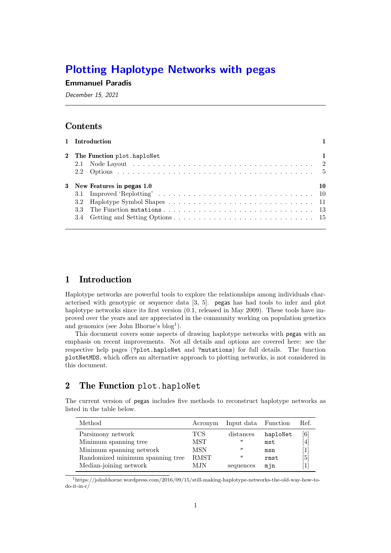# Plotting Haplotype Networks with pegas

### Emmanuel Paradis

December 15, 2021

## Contents

| 1 Introduction               |    |
|------------------------------|----|
| 2 The Function plot.haploNet |    |
|                              |    |
| 3 New Features in pegas 1.0  | 10 |
|                              |    |
|                              |    |
|                              |    |
|                              |    |
|                              |    |

## 1 Introduction

Haplotype networks are powerful tools to explore the relationships among individuals characterised with genotypic or sequence data [3, 5]. pegas has had tools to infer and plot haplotype networks since its first version  $(0.1,$  released in May 2009). These tools have improved over the years and are appreciated in the community working on population genetics and genomics (see John Bhorne's  $blog<sup>1</sup>$ ).

This document covers some aspects of drawing haplotype networks with pegas with an emphasis on recent improvements. Not all details and options are covered here: see the respective help pages (?plot.haploNet and ?mutations) for full details. The function plotNetMDS, which offers an alternative approach to plotting networks, is not considered in this document.

# 2 The Function plot.haploNet

The current version of pegas includes five methods to reconstruct haplotype networks as listed in the table below.

| Method                           | Acronym     | Input data Function |          | Ref.              |
|----------------------------------|-------------|---------------------|----------|-------------------|
| Parsimony network                | <b>TCS</b>  | distances           | haploNet | $\lceil 6 \rceil$ |
| Minimum spanning tree            | MST         | $^{\prime\prime}$   | mst      | 4                 |
| Minimum spanning network         | MSN         | $^{\prime\prime}$   | msn      | $\left  \right $  |
| Randomized minimum spanning tree | <b>RMST</b> | $^{\prime\prime}$   | rmst     | [5]               |
| Median-joining network           | M.IN        | sequences           | mjn      | $\mathbf{1}$      |

<sup>1</sup>https://johnbhorne.wordpress.com/2016/09/15/still-making-haplotype-networks-the-old-way-how-todo-it-in-r/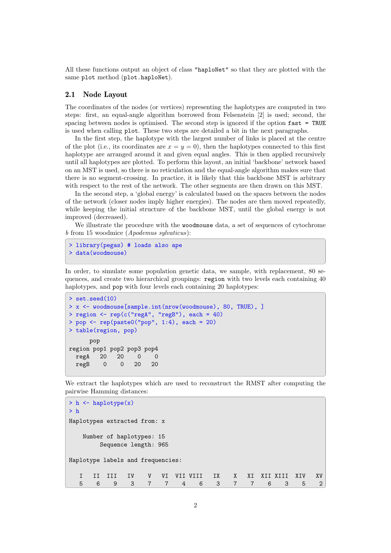All these functions output an object of class "haploNet" so that they are plotted with the same plot method (plot.haploNet).

#### 2.1 Node Layout

The coordinates of the nodes (or vertices) representing the haplotypes are computed in two steps: first, an equal-angle algorithm borrowed from Felsenstein [2] is used; second, the spacing between nodes is optimised. The second step is ignored if the option  $\texttt{fast} = \texttt{TRUE}$ is used when calling plot. These two steps are detailed a bit in the next paragraphs.

In the first step, the haplotype with the largest number of links is placed at the centre of the plot (i.e., its coordinates are  $x = y = 0$ ), then the haplotypes connected to this first haplotype are arranged around it and given equal angles. This is then applied recursively until all haplotypes are plotted. To perform this layout, an initial 'backbone' network based on an MST is used, so there is no reticulation and the equal-angle algorithm makes sure that there is no segment-crossing. In practice, it is likely that this backbone MST is arbitrary with respect to the rest of the network. The other segments are then drawn on this MST.

In the second step, a 'global energy' is calculated based on the spaces between the nodes of the network (closer nodes imply higher energies). The nodes are then moved repeatedly, while keeping the initial structure of the backbone MST, until the global energy is not improved (decreased).

We illustrate the procedure with the woodmouse data, a set of sequences of cytochrome b from 15 woodmice (Apodemus sylvaticus):

```
> library(pegas) # loads also ape
> data(woodmouse)
```
In order, to simulate some population genetic data, we sample, with replacement, 80 sequences, and create two hierarchical groupings: region with two levels each containing 40 haplotypes, and **pop** with four levels each containing 20 haplotypes:

```
> set.seed(10)
> x <- woodmouse[sample.int(nrow(woodmouse), 80, TRUE), ]
> region <- rep(c("regA", "regB"), each = 40)
> pop \leq rep(paste0("pop", 1:4), each = 20)
> table(region, pop)
     pop
region pop1 pop2 pop3 pop4
 regA 20 20 0 0
 regB 0 0 20 20
```
We extract the haplotypes which are used to reconstruct the RMST after computing the pairwise Hamming distances:

```
> h <- haplotype(x)
> h
Haplotypes extracted from: x
   Number of haplotypes: 15
      Sequence length: 965
Haplotype labels and frequencies:
  I II III IV V VI VII VIII IX X XI XII XIII XIV XV
  5 6 9 3 7 7 4 6 3 7 7 6 3 5 2
```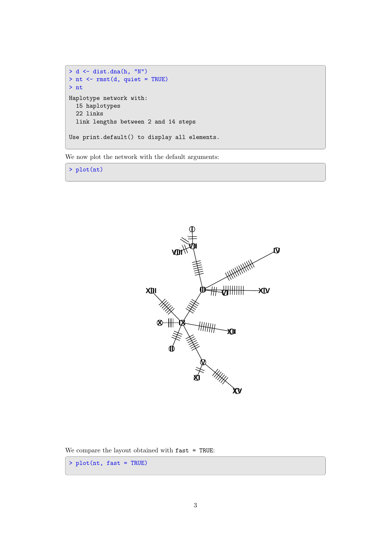```
> d <- dist.dna(h, "N")
> nt <- rmst(d, quiet = TRUE)
> nt
Haplotype network with:
  15 haplotypes
  22 links
  link lengths between 2 and 14 steps
Use print.default() to display all elements.
```
We now plot the network with the default arguments:

> plot(nt)



We compare the layout obtained with fast = TRUE:

> plot(nt, fast = TRUE)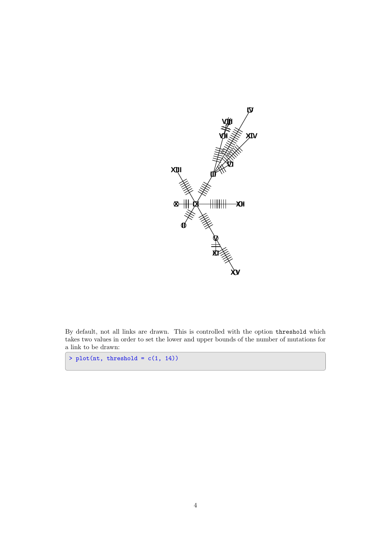

By default, not all links are drawn. This is controlled with the option threshold which takes two values in order to set the lower and upper bounds of the number of mutations for a link to be drawn:

 $> plot(nt, threshold = c(1, 14))$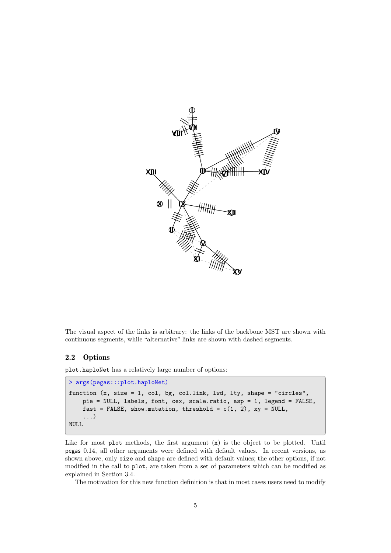

The visual aspect of the links is arbitrary: the links of the backbone MST are shown with continuous segments, while "alternative" links are shown with dashed segments.

### 2.2 Options

plot.haploNet has a relatively large number of options:

```
> args(pegas:::plot.haploNet)
function (x, size = 1, col, bg, col.link, lwd, lty, shape = "circles",
    pie = NULL, labels, font, cex, scale.ratio, asp = 1, legend = FALSE,
    fast = FALSE, show.mutation, threshold = c(1, 2), xy = NULL,
    ...)
NULL
```
Like for most plot methods, the first argument  $(x)$  is the object to be plotted. Until pegas 0.14, all other arguments were defined with default values. In recent versions, as shown above, only size and shape are defined with default values; the other options, if not modified in the call to plot, are taken from a set of parameters which can be modified as explained in Section 3.4.

The motivation for this new function definition is that in most cases users need to modify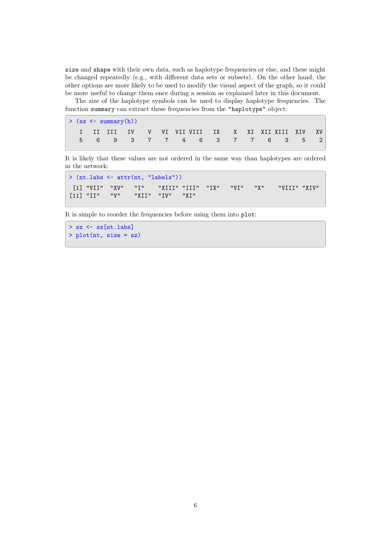size and shape with their own data, such as haplotype frequencies or else, and these might be changed repeatedly (e.g., with different data sets or subsets). On the other hand, the other options are more likely to be used to modify the visual aspect of the graph, so it could be more useful to change them once during a session as explained later in this document.

The size of the haplotype symbols can be used to display haplotype frequencies. The function summary can extract these frequencies from the "haplotype" object:

|  | $>(sz < - summary(h))$                         |  |  |  |  |  |  |
|--|------------------------------------------------|--|--|--|--|--|--|
|  | I II III IV V VI VIIVIII IX XXI XIIXIII XIV XV |  |  |  |  |  |  |
|  | 5 6 9 3 7 7 4 6 3 7 7 6 3 5 2                  |  |  |  |  |  |  |

It is likely that these values are not ordered in the same way than haplotypes are ordered in the network:

```
> (nt.labs <- attr(nt, "labels"))
 [1] "VII" "XV" "I" "XIII" "III" "IX" "VI" "X" "VIII" "XIV"
[11] "II" "V" "XII" "IV" "XI"
```
It is simple to reorder the frequencies before using them into plot:

```
> sz <- sz[nt.labs]
> plot(nt, size = sz)
```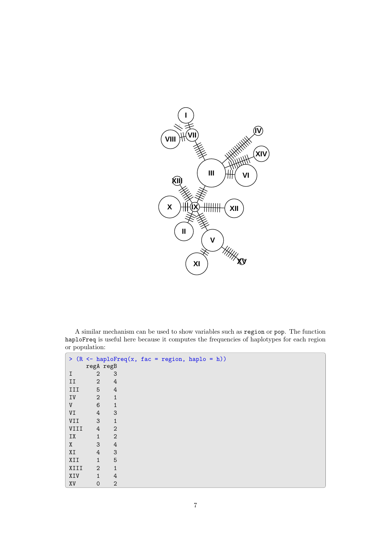

A similar mechanism can be used to show variables such as region or pop. The function haploFreq is useful here because it computes the frequencies of haplotypes for each region or population:

|      |                     |                           | > $(R \leq haploFreq(x, fac = region, haplo = h))$ |
|------|---------------------|---------------------------|----------------------------------------------------|
|      | regA regB           |                           |                                                    |
| I    | $\mathbf{2}$        | 3                         |                                                    |
| II   | $\mathbf{2}$        | 4                         |                                                    |
| III  | 5                   | $\sqrt{4}$                |                                                    |
| IV   | $\sqrt{2}$          | $\mathbf{1}$              |                                                    |
| V    | $\,6$               | $\mathbf{1}$              |                                                    |
| VI   | $\sqrt{4}$          | 3                         |                                                    |
| VII  | 3                   | $\mathbf{1}$              |                                                    |
| VIII | $\overline{4}$      | $\sqrt{2}$                |                                                    |
| IX   | $\mathbf{1}$        | $\overline{2}$            |                                                    |
| X    | 3                   | $\ensuremath{4}$          |                                                    |
| XI   | $\sqrt{4}$          | $\ensuremath{\mathsf{3}}$ |                                                    |
| XII  | $\mathbf{1}$        | 5                         |                                                    |
| XIII | $\overline{2}$      | $\mathbf{1}$              |                                                    |
| XIV  | $\mathbf{1}$        | 4                         |                                                    |
| XV   | $\mathsf{O}\xspace$ | $\mathbf{2}$              |                                                    |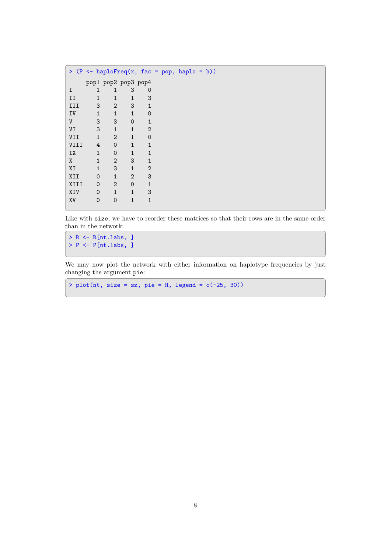| ≻    |                |              |                     |                |  | $(P \leq - \text{ haploFreq}(x, fac = pop, haplo = h))$ |  |
|------|----------------|--------------|---------------------|----------------|--|---------------------------------------------------------|--|
|      |                |              | pop1 pop2 pop3 pop4 |                |  |                                                         |  |
| I    | 1              | 1            | 3                   | 0              |  |                                                         |  |
| II   | 1              | 1            | $\mathbf{1}$        | 3              |  |                                                         |  |
| III  | 3              | $\mathbf{2}$ | 3                   | $\mathbf{1}$   |  |                                                         |  |
| IV   | $\overline{1}$ | $\mathbf{1}$ | $\mathbf{1}$        | $\overline{0}$ |  |                                                         |  |
| V    | 3              | 3            | 0                   | $\mathbf{1}$   |  |                                                         |  |
| VI   | 3              | $\mathbf{1}$ | $\mathbf{1}$        | 2              |  |                                                         |  |
| VII  | $\mathbf{1}$   | $\mathbf{2}$ | $\mathbf{1}$        | $\overline{0}$ |  |                                                         |  |
| VIII | 4              | $\mathbf 0$  | $\mathbf{1}$        | $\mathbf{1}$   |  |                                                         |  |
| IX   | $\mathbf{1}$   | $\mathbf 0$  | 1                   | $\mathbf{1}$   |  |                                                         |  |
| X    | $\overline{1}$ | $\mathbf{2}$ | 3                   | $\mathbf{1}$   |  |                                                         |  |
| XI   | $\mathbf{1}$   | 3            | $\mathbf{1}$        | 2              |  |                                                         |  |
| XII  | $\Omega$       | $\mathbf{1}$ | $\overline{2}$      | 3              |  |                                                         |  |
| XIII | $\Omega$       | 2            | $\Omega$            | $\mathbf{1}$   |  |                                                         |  |
| XIV  | 0              | $\mathbf{1}$ | $\mathbf{1}$        | 3              |  |                                                         |  |
| XV   | 0              | $\mathbf 0$  | 1                   | $\overline{1}$ |  |                                                         |  |
|      |                |              |                     |                |  |                                                         |  |

Like with size, we have to reorder these matrices so that their rows are in the same order than in the network:

> R <- R[nt.labs, ]  $>$  P  $\leftarrow$  P[nt.labs, ]

We may now plot the network with either information on haplotype frequencies by just changing the argument pie:

>  $plot(nt, size = sz, pie = R, legend = c(-25, 30))$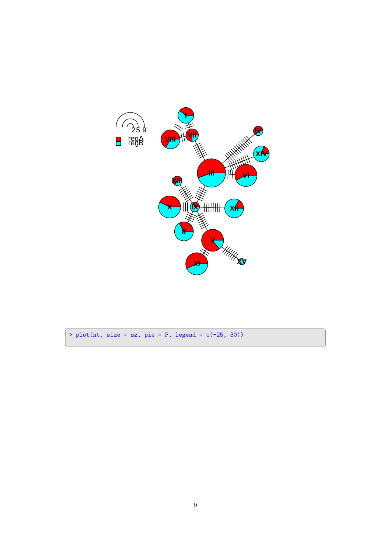

> plot(nt, size = sz, pie = P, legend =  $c(-25, 30)$ )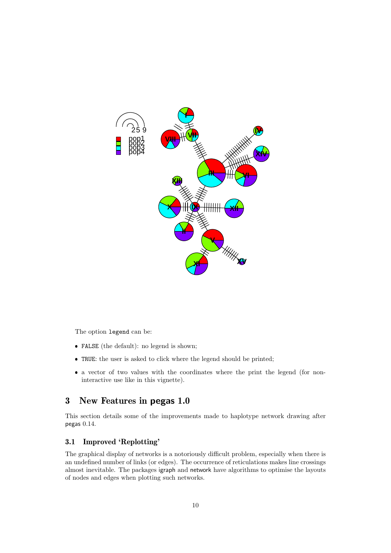

The option legend can be:

- FALSE (the default): no legend is shown;
- TRUE: the user is asked to click where the legend should be printed;
- a vector of two values with the coordinates where the print the legend (for noninteractive use like in this vignette).

## 3 New Features in pegas 1.0

This section details some of the improvements made to haplotype network drawing after pegas 0.14.

## 3.1 Improved 'Replotting'

The graphical display of networks is a notoriously difficult problem, especially when there is an undefined number of links (or edges). The occurrence of reticulations makes line crossings almost inevitable. The packages igraph and network have algorithms to optimise the layouts of nodes and edges when plotting such networks.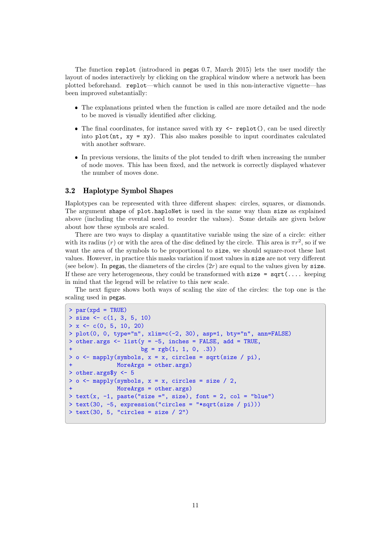The function replot (introduced in pegas 0.7, March 2015) lets the user modify the layout of nodes interactively by clicking on the graphical window where a network has been plotted beforehand. replot—which cannot be used in this non-interactive vignette—has been improved substantially:

- The explanations printed when the function is called are more detailed and the node to be moved is visually identified after clicking.
- The final coordinates, for instance saved with xy <- replot(), can be used directly into  $plot(nt, xy = xy)$ . This also makes possible to input coordinates calculated with another software.
- In previous versions, the limits of the plot tended to drift when increasing the number of node moves. This has been fixed, and the network is correctly displayed whatever the number of moves done.

#### 3.2 Haplotype Symbol Shapes

Haplotypes can be represented with three different shapes: circles, squares, or diamonds. The argument shape of plot.haploNet is used in the same way than size as explained above (including the evental need to reorder the values). Some details are given below about how these symbols are scaled.

There are two ways to display a quantitative variable using the size of a circle: either with its radius (r) or with the area of the disc defined by the circle. This area is  $\pi r^2$ , so if we want the area of the symbols to be proportional to size, we should square-root these last values. However, in practice this masks variation if most values in size are not very different (see below). In pegas, the diameters of the circles  $(2r)$  are equal to the values given by size. If these are very heterogeneous, they could be transformed with  $size = sqrt(...]$  keeping in mind that the legend will be relative to this new scale.

The next figure shows both ways of scaling the size of the circles: the top one is the scaling used in pegas.

```
> par(xpd = TRUE)> size <- c(1, 3, 5, 10)
> x < -c(0, 5, 10, 20)> plot(0, 0, type="n", xlim=c(-2, 30), asp=1, bty="n", ann=FALSE)
> other.args \le list(y = -5, inches = FALSE, add = TRUE,
                    bg = rgb(1, 1, 0, .3))> o \leq mapply(symbols, x = x, circles = sqrt(size / pi),
+ MoreArgs = other.args)
> other.args$y <- 5
> o \leq mapply(symbols, x = x, circles = size / 2,
+ MoreArgs = other.args)
> text(x, -1, paste("size =", size), font = 2, col = "blue")
> text(30, -5, expression("circles = "*sqrt(size / pi)))
> text(30, 5, "circles = size / 2")
```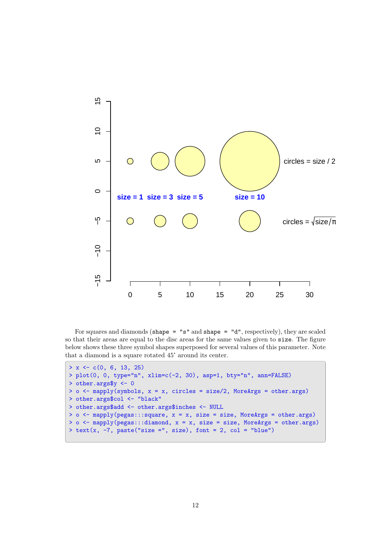

For squares and diamonds (shape = "s" and shape = "d", respectively), they are scaled so that their areas are equal to the disc areas for the same values given to size. The figure below shows these three symbol shapes superposed for several values of this parameter. Note that a diamond is a square rotated 45° around its center.

```
> x < -c(0, 6, 13, 25)> plot(0, 0, type="n", xlim=c(-2, 30), asp=1, bty="n", ann=FALSE)
> other.args$y <- 0
> o <- mapply(symbols, x = x, circles = size/2, MoreArgs = other.args)
> other.args$col <- "black"
> other.args$add <- other.args$inches <- NULL
> o \le mapply(pegas:::square, x = x, size = size, MoreArgs = other.args)
> o <- mapply(pegas:::diamond, x = x, size = size, MoreArgs = other.args)
> text(x, -7, paste("size =", size), font = 2, col = "blue")
```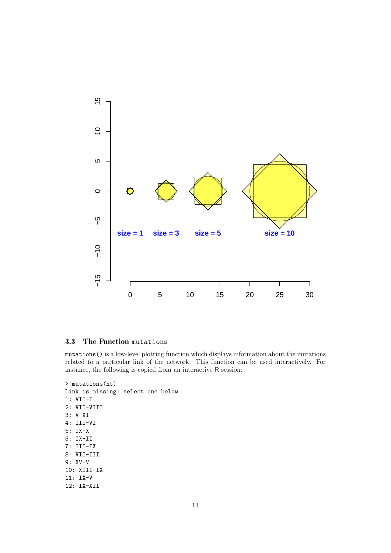

#### 3.3 The Function mutations

mutations() is a low-level plotting function which displays information about the mutations related to a particular link of the network. This function can be used interactively. For instance, the following is copied from an interactive R session:

```
> mutations(nt)
Link is missing: select one below
1: VII-I
2: VII-VIII
3: V-XI
4: III-VI
5: IX-X
6: IX-II
7: III-IX
8: VII-III
9: XV-V
10: XIII-IX
11: IX-V
12: IX-XII
```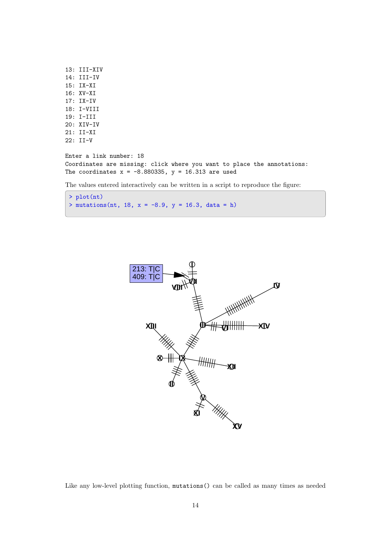```
13: III-XIV
14: III-IV
15: IX-XI
16: XV-XI
17: IX-IV
18: I-VIII
19: I-III
20: XIV-IV
21: II-XI
22: II-V
Enter a link number: 18
Coordinates are missing: click where you want to place the annotations:
The coordinates x = -8.880335, y = 16.313 are used
The values entered interactively can be written in a script to reproduce the figure:
```

```
> plot(nt)
> mutations(nt, 18, x = -8.9, y = 16.3, data = h)
```


Like any low-level plotting function, mutations() can be called as many times as needed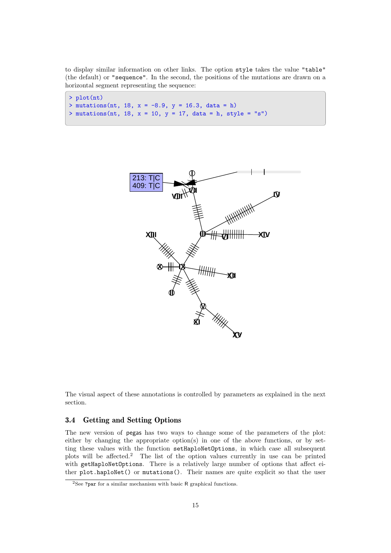to display similar information on other links. The option style takes the value "table" (the default) or "sequence". In the second, the positions of the mutations are drawn on a horizontal segment representing the sequence:

```
> plot(nt)
> mutations(nt, 18, x = -8.9, y = 16.3, data = h)
> mutations(nt, 18, x = 10, y = 17, data = h, style = "s")
```


The visual aspect of these annotations is controlled by parameters as explained in the next section.

#### 3.4 Getting and Setting Options

The new version of pegas has two ways to change some of the parameters of the plot: either by changing the appropriate option(s) in one of the above functions, or by setting these values with the function setHaploNetOptions, in which case all subsequent plots will be affected.<sup>2</sup> The list of the option values currently in use can be printed with getHaploNetOptions. There is a relatively large number of options that affect either plot.haploNet() or mutations(). Their names are quite explicit so that the user

 ${}^{2}\mathrm{See}$  ?par for a similar mechanism with basic R graphical functions.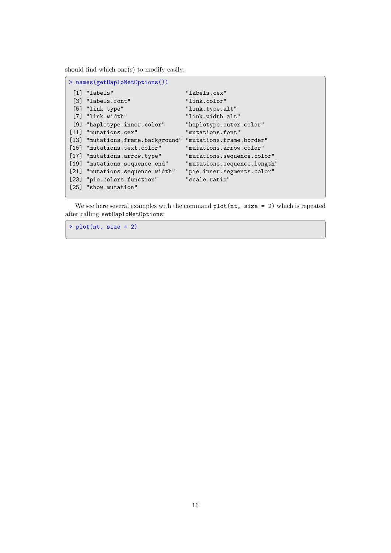should find which one(s) to modify easily:

| > names(getHaploNetOptions()) |                                                            |                             |  |  |  |  |  |
|-------------------------------|------------------------------------------------------------|-----------------------------|--|--|--|--|--|
|                               | [1] "labels"                                               | "labels.cex"                |  |  |  |  |  |
|                               | [3] "labels.font"                                          | "link.color"                |  |  |  |  |  |
|                               | $[5]$ "link.type"                                          | "link.type.alt"             |  |  |  |  |  |
|                               | [7] "link.width"                                           | "link.width.alt"            |  |  |  |  |  |
|                               | [9] "haplotype.inner.color"                                | "haplotype.outer.color"     |  |  |  |  |  |
|                               | [11] "mutations.cex"                                       | "mutations.font"            |  |  |  |  |  |
|                               | [13] "mutations.frame.background" "mutations.frame.border" |                             |  |  |  |  |  |
|                               | [15] "mutations.text.color"                                | "mutations.arrow.color"     |  |  |  |  |  |
|                               | [17] "mutations.arrow.type"                                | "mutations.sequence.color"  |  |  |  |  |  |
|                               | [19] "mutations.sequence.end"                              | "mutations.sequence.length" |  |  |  |  |  |
|                               | [21] "mutations.sequence.width"                            | "pie.inner.segments.color"  |  |  |  |  |  |
|                               | [23] "pie.colors.function"                                 | "scale.ratio"               |  |  |  |  |  |
|                               | [25] "show.mutation"                                       |                             |  |  |  |  |  |

We see here several examples with the command  $plot(nt, size = 2)$  which is repeated after calling setHaploNetOptions:

 $> plot(nt, size = 2)$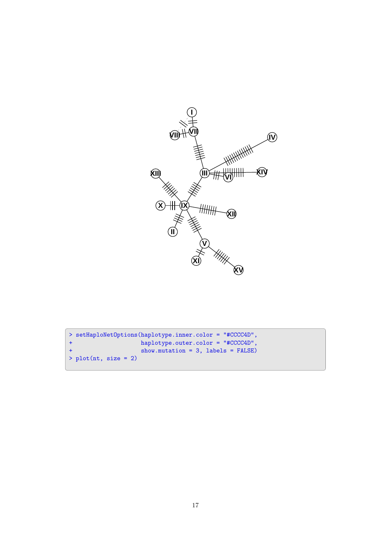

```
> setHaploNetOptions(haplotype.inner.color = "#CCCC4D",
+ haplotype.outer.color = "#CCCC4D",
+ show.mutation = 3, labels = FALSE)
> plot(nt, size = 2)
```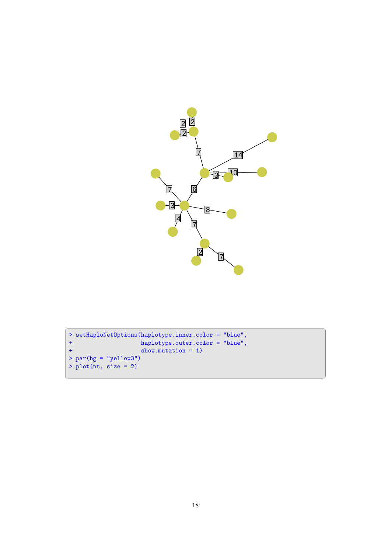

```
> setHaploNetOptions(haplotype.inner.color = "blue",
+ haplotype.outer.color = "blue",
+ show.mutation = 1)
> par(bg = "yellow3")
> plot(nt, size = 2)
```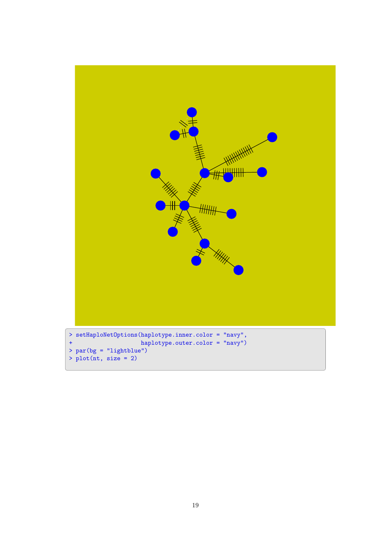